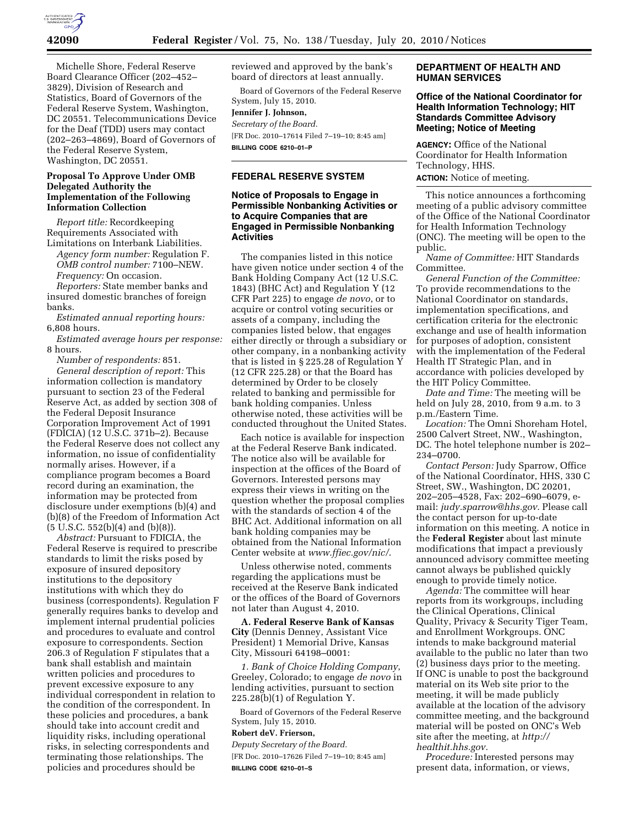

Michelle Shore, Federal Reserve Board Clearance Officer (202–452– 3829), Division of Research and Statistics, Board of Governors of the Federal Reserve System, Washington, DC 20551. Telecommunications Device for the Deaf (TDD) users may contact (202–263–4869), Board of Governors of the Federal Reserve System, Washington, DC 20551.

## **Proposal To Approve Under OMB Delegated Authority the Implementation of the Following Information Collection**

*Report title:* Recordkeeping Requirements Associated with Limitations on Interbank Liabilities.

*Agency form number:* Regulation F. *OMB control number:* 7100–NEW. *Frequency:* On occasion.

*Reporters:* State member banks and insured domestic branches of foreign banks.

*Estimated annual reporting hours:*  6,808 hours.

*Estimated average hours per response:*  8 hours.

*Number of respondents:* 851. *General description of report:* This information collection is mandatory pursuant to section 23 of the Federal Reserve Act, as added by section 308 of the Federal Deposit Insurance Corporation Improvement Act of 1991 (FDICIA) (12 U.S.C. 371b–2). Because the Federal Reserve does not collect any information, no issue of confidentiality normally arises. However, if a compliance program becomes a Board record during an examination, the information may be protected from disclosure under exemptions (b)(4) and (b)(8) of the Freedom of Information Act  $(5 \text{ U.S.C. } 552(b)(4) \text{ and } (b)(8)).$ 

*Abstract:* Pursuant to FDICIA, the Federal Reserve is required to prescribe standards to limit the risks posed by exposure of insured depository institutions to the depository institutions with which they do business (correspondents). Regulation F generally requires banks to develop and implement internal prudential policies and procedures to evaluate and control exposure to correspondents. Section 206.3 of Regulation F stipulates that a bank shall establish and maintain written policies and procedures to prevent excessive exposure to any individual correspondent in relation to the condition of the correspondent. In these policies and procedures, a bank should take into account credit and liquidity risks, including operational risks, in selecting correspondents and terminating those relationships. The policies and procedures should be

reviewed and approved by the bank's board of directors at least annually.

Board of Governors of the Federal Reserve System, July 15, 2010. **Jennifer J. Johnson,**  *Secretary of the Board.*  [FR Doc. 2010–17614 Filed 7–19–10; 8:45 am] **BILLING CODE 6210–01–P** 

# **FEDERAL RESERVE SYSTEM**

## **Notice of Proposals to Engage in Permissible Nonbanking Activities or to Acquire Companies that are Engaged in Permissible Nonbanking Activities**

The companies listed in this notice have given notice under section 4 of the Bank Holding Company Act (12 U.S.C. 1843) (BHC Act) and Regulation Y (12 CFR Part 225) to engage *de novo*, or to acquire or control voting securities or assets of a company, including the companies listed below, that engages either directly or through a subsidiary or other company, in a nonbanking activity that is listed in § 225.28 of Regulation Y (12 CFR 225.28) or that the Board has determined by Order to be closely related to banking and permissible for bank holding companies. Unless otherwise noted, these activities will be conducted throughout the United States.

Each notice is available for inspection at the Federal Reserve Bank indicated. The notice also will be available for inspection at the offices of the Board of Governors. Interested persons may express their views in writing on the question whether the proposal complies with the standards of section 4 of the BHC Act. Additional information on all bank holding companies may be obtained from the National Information Center website at *www.ffiec.gov/nic/*.

Unless otherwise noted, comments regarding the applications must be received at the Reserve Bank indicated or the offices of the Board of Governors not later than August 4, 2010.

**A. Federal Reserve Bank of Kansas City** (Dennis Denney, Assistant Vice President) 1 Memorial Drive, Kansas City, Missouri 64198–0001:

*1. Bank of Choice Holding Company*, Greeley, Colorado; to engage *de novo* in lending activities, pursuant to section 225.28(b)(1) of Regulation Y.

Board of Governors of the Federal Reserve System, July 15, 2010.

#### **Robert deV. Frierson,**

*Deputy Secretary of the Board.*  [FR Doc. 2010–17626 Filed 7–19–10; 8:45 am] **BILLING CODE 6210–01–S** 

# **DEPARTMENT OF HEALTH AND HUMAN SERVICES**

# **Office of the National Coordinator for Health Information Technology; HIT Standards Committee Advisory Meeting; Notice of Meeting**

**AGENCY:** Office of the National Coordinator for Health Information Technology, HHS. **ACTION:** Notice of meeting.

This notice announces a forthcoming meeting of a public advisory committee of the Office of the National Coordinator for Health Information Technology (ONC). The meeting will be open to the public.

*Name of Committee:* HIT Standards Committee.

*General Function of the Committee:*  To provide recommendations to the National Coordinator on standards, implementation specifications, and certification criteria for the electronic exchange and use of health information for purposes of adoption, consistent with the implementation of the Federal Health IT Strategic Plan, and in accordance with policies developed by the HIT Policy Committee.

*Date and Time:* The meeting will be held on July 28, 2010, from 9 a.m. to 3 p.m./Eastern Time.

*Location:* The Omni Shoreham Hotel, 2500 Calvert Street, NW., Washington, DC. The hotel telephone number is 202– 234–0700.

*Contact Person:* Judy Sparrow, Office of the National Coordinator, HHS, 330 C Street, SW., Washington, DC 20201, 202–205–4528, Fax: 202–690–6079, email: *judy.sparrow@hhs.gov.* Please call the contact person for up-to-date information on this meeting. A notice in the **Federal Register** about last minute modifications that impact a previously announced advisory committee meeting cannot always be published quickly enough to provide timely notice.

*Agenda:* The committee will hear reports from its workgroups, including the Clinical Operations, Clinical Quality, Privacy & Security Tiger Team, and Enrollment Workgroups. ONC intends to make background material available to the public no later than two (2) business days prior to the meeting. If ONC is unable to post the background material on its Web site prior to the meeting, it will be made publicly available at the location of the advisory committee meeting, and the background material will be posted on ONC's Web site after the meeting, at *http:// healthit.hhs.gov.* 

*Procedure:* Interested persons may present data, information, or views,